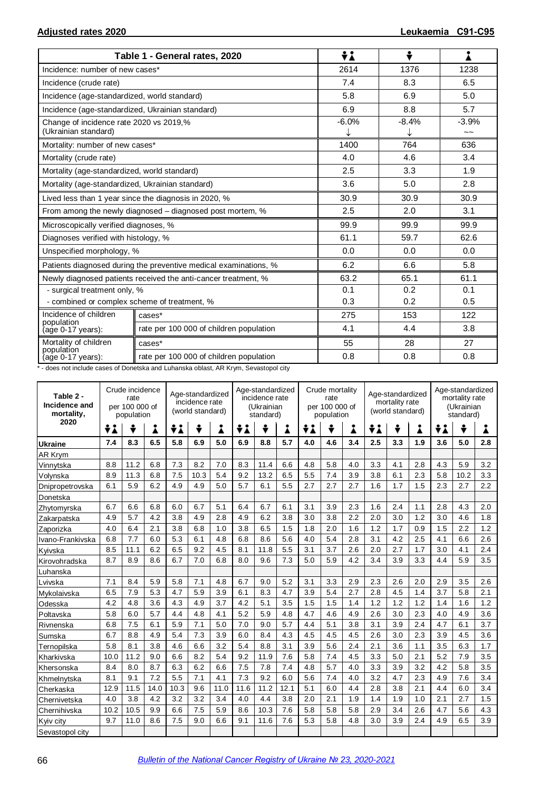|                                                                 | Table 1 - General rates, 2020                                    | ÷i      | ÷            |                                      |  |  |
|-----------------------------------------------------------------|------------------------------------------------------------------|---------|--------------|--------------------------------------|--|--|
| Incidence: number of new cases*                                 |                                                                  | 2614    | 1376         | 1238                                 |  |  |
| Incidence (crude rate)                                          |                                                                  | 7.4     | 8.3          | 6.5                                  |  |  |
| Incidence (age-standardized, world standard)                    |                                                                  | 5.8     | 6.9          | 5.0                                  |  |  |
| Incidence (age-standardized, Ukrainian standard)                |                                                                  | 6.9     | 8.8          | 5.7                                  |  |  |
| Change of incidence rate 2020 vs 2019,%<br>(Ukrainian standard) |                                                                  | $-6.0%$ | $-8.4%$<br>↓ | $-3.9%$<br>$\widetilde{\phantom{a}}$ |  |  |
| Mortality: number of new cases*                                 |                                                                  | 1400    | 764          | 636                                  |  |  |
| Mortality (crude rate)                                          |                                                                  | 4.0     | 4.6          | 3.4                                  |  |  |
| Mortality (age-standardized, world standard)                    |                                                                  | 2.5     | 3.3          | 1.9                                  |  |  |
| Mortality (age-standardized, Ukrainian standard)                |                                                                  | 3.6     | 5.0          | 2.8                                  |  |  |
|                                                                 | Lived less than 1 year since the diagnosis in 2020, %            | 30.9    | 30.9         | 30.9                                 |  |  |
|                                                                 | From among the newly diagnosed - diagnosed post mortem, %        | 2.5     | 2.0          | 3.1                                  |  |  |
| Microscopically verified diagnoses, %                           |                                                                  | 99.9    | 99.9         | 99.9                                 |  |  |
| Diagnoses verified with histology, %                            |                                                                  | 61.1    | 59.7         | 62.6                                 |  |  |
| Unspecified morphology, %                                       |                                                                  | 0.0     | 0.0          | 0.0                                  |  |  |
|                                                                 | Patients diagnosed during the preventive medical examinations, % | 6.2     | 6.6          | 5.8                                  |  |  |
|                                                                 | Newly diagnosed patients received the anti-cancer treatment, %   | 63.2    | 65.1         | 61.1                                 |  |  |
| - surgical treatment only, %                                    |                                                                  | 0.1     | 0.2<br>0.1   |                                      |  |  |
| - combined or complex scheme of treatment, %                    |                                                                  | 0.3     | 0.2          | 0.5                                  |  |  |
| Incidence of children<br>population                             | cases*                                                           | 275     | 153          | 122                                  |  |  |
| (age 0-17 years):                                               | rate per 100 000 of children population                          | 4.1     | 4.4          | 3.8                                  |  |  |
| Mortality of children                                           | cases*                                                           | 55      | 28           | 27                                   |  |  |
| population<br>(age 0-17 years):                                 | rate per 100 000 of children population                          | 0.8     | 0.8          | 0.8                                  |  |  |

\* - does not include cases of Donetska and Luhanska oblast, AR Krym, Sevastopol city

| Table 2 -<br>Incidence and<br>mortality, | Crude incidence<br>Age-standardized<br>rate<br>incidence rate<br>per 100 000 of<br>(world standard)<br>population |      |      |      |      |      | Age-standardized<br>incidence rate<br>(Ukrainian<br>standard) |      |      | Crude mortality<br>rate<br>per 100 000 of<br>population |     |     | Age-standardized<br>mortality rate<br>(world standard) |     |     | Age-standardized<br>mortality rate<br>(Ukrainian<br>standard) |      |     |
|------------------------------------------|-------------------------------------------------------------------------------------------------------------------|------|------|------|------|------|---------------------------------------------------------------|------|------|---------------------------------------------------------|-----|-----|--------------------------------------------------------|-----|-----|---------------------------------------------------------------|------|-----|
| 2020                                     | ÷i                                                                                                                | ÷    | i    | ÷i   | ÷    | Å    | ÷i                                                            | ÷    | i    | ÷i                                                      | ÷   | Å   | ÷λ                                                     | ÷   | Å   | ÷i                                                            | ÷    | Å   |
| <b>Ukraine</b>                           | 7.4                                                                                                               | 8.3  | 6.5  | 5.8  | 6.9  | 5.0  | 6.9                                                           | 8.8  | 5.7  | 4.0                                                     | 4.6 | 3.4 | 2.5                                                    | 3.3 | 1.9 | 3.6                                                           | 5.0  | 2.8 |
| AR Krym                                  |                                                                                                                   |      |      |      |      |      |                                                               |      |      |                                                         |     |     |                                                        |     |     |                                                               |      |     |
| Vinnytska                                | 8.8                                                                                                               | 11.2 | 6.8  | 7.3  | 8.2  | 7.0  | 8.3                                                           | 11.4 | 6.6  | 4.8                                                     | 5.8 | 4.0 | 3.3                                                    | 4.1 | 2.8 | 4.3                                                           | 5.9  | 3.2 |
| Volynska                                 | 8.9                                                                                                               | 11.3 | 6.8  | 7.5  | 10.3 | 5.4  | 9.2                                                           | 13.2 | 6.5  | 5.5                                                     | 7.4 | 3.9 | 3.8                                                    | 6.1 | 2.3 | 5.8                                                           | 10.2 | 3.3 |
| Dnipropetrovska                          | 6.1                                                                                                               | 5.9  | 6.2  | 4.9  | 4.9  | 5.0  | 5.7                                                           | 6.1  | 5.5  | 2.7                                                     | 2.7 | 2.7 | 1.6                                                    | 1.7 | 1.5 | 2.3                                                           | 2.7  | 2.2 |
| Donetska                                 |                                                                                                                   |      |      |      |      |      |                                                               |      |      |                                                         |     |     |                                                        |     |     |                                                               |      |     |
| Zhytomyrska                              | 6.7                                                                                                               | 6.6  | 6.8  | 6.0  | 6.7  | 5.1  | 6.4                                                           | 6.7  | 6.1  | 3.1                                                     | 3.9 | 2.3 | 1.6                                                    | 2.4 | 1.1 | 2.8                                                           | 4.3  | 2.0 |
| Zakarpatska                              | 4.9                                                                                                               | 5.7  | 4.2  | 3.8  | 4.9  | 2.8  | 4.9                                                           | 6.2  | 3.8  | 3.0                                                     | 3.8 | 2.2 | 2.0                                                    | 3.0 | 1.2 | 3.0                                                           | 4.6  | 1.8 |
| Zaporizka                                | 4.0                                                                                                               | 6.4  | 2.1  | 3.8  | 6.8  | 1.0  | 3.8                                                           | 6.5  | 1.5  | 1.8                                                     | 2.0 | 1.6 | 1.2                                                    | 1.7 | 0.9 | 1.5                                                           | 2.2  | 1.2 |
| Ivano-Frankivska                         | 6.8                                                                                                               | 7.7  | 6.0  | 5.3  | 6.1  | 4.8  | 6.8                                                           | 8.6  | 5.6  | 4.0                                                     | 5.4 | 2.8 | 3.1                                                    | 4.2 | 2.5 | 4.1                                                           | 6.6  | 2.6 |
| Kvivska                                  | 8.5                                                                                                               | 11.1 | 6.2  | 6.5  | 9.2  | 4.5  | 8.1                                                           | 11.8 | 5.5  | 3.1                                                     | 3.7 | 2.6 | 2.0                                                    | 2.7 | 1.7 | 3.0                                                           | 4.1  | 2.4 |
| Kirovohradska                            | 8.7                                                                                                               | 8.9  | 8.6  | 6.7  | 7.0  | 6.8  | 8.0                                                           | 9.6  | 7.3  | 5.0                                                     | 5.9 | 4.2 | 3.4                                                    | 3.9 | 3.3 | 4.4                                                           | 5.9  | 3.5 |
| Luhanska                                 |                                                                                                                   |      |      |      |      |      |                                                               |      |      |                                                         |     |     |                                                        |     |     |                                                               |      |     |
| Lvivska                                  | 7.1                                                                                                               | 8.4  | 5.9  | 5.8  | 7.1  | 4.8  | 6.7                                                           | 9.0  | 5.2  | 3.1                                                     | 3.3 | 2.9 | 2.3                                                    | 2.6 | 2.0 | 2.9                                                           | 3.5  | 2.6 |
| Mykolaivska                              | 6.5                                                                                                               | 7.9  | 5.3  | 4.7  | 5.9  | 3.9  | 6.1                                                           | 8.3  | 4.7  | 3.9                                                     | 5.4 | 2.7 | 2.8                                                    | 4.5 | 1.4 | 3.7                                                           | 5.8  | 2.1 |
| Odesska                                  | 4.2                                                                                                               | 4.8  | 3.6  | 4.3  | 4.9  | 3.7  | 4.2                                                           | 5.1  | 3.5  | 1.5                                                     | 1.5 | 1.4 | 1.2                                                    | 1.2 | 1.2 | 1.4                                                           | 1.6  | 1.2 |
| Poltavska                                | 5.8                                                                                                               | 6.0  | 5.7  | 4.4  | 4.8  | 4.1  | 5.2                                                           | 5.9  | 4.8  | 4.7                                                     | 4.6 | 4.9 | 2.6                                                    | 3.0 | 2.3 | 4.0                                                           | 4.9  | 3.6 |
| Rivnenska                                | 6.8                                                                                                               | 7.5  | 6.1  | 5.9  | 7.1  | 5.0  | 7.0                                                           | 9.0  | 5.7  | 4.4                                                     | 5.1 | 3.8 | 3.1                                                    | 3.9 | 2.4 | 4.7                                                           | 6.1  | 3.7 |
| Sumska                                   | 6.7                                                                                                               | 8.8  | 4.9  | 5.4  | 7.3  | 3.9  | 6.0                                                           | 8.4  | 4.3  | 4.5                                                     | 4.5 | 4.5 | 2.6                                                    | 3.0 | 2.3 | 3.9                                                           | 4.5  | 3.6 |
| Ternopilska                              | 5.8                                                                                                               | 8.1  | 3.8  | 4.6  | 6.6  | 3.2  | 5.4                                                           | 8.8  | 3.1  | 3.9                                                     | 5.6 | 2.4 | 2.1                                                    | 3.6 | 1.1 | 3.5                                                           | 6.3  | 1.7 |
| Kharkivska                               | 10.0                                                                                                              | 11.2 | 9.0  | 6.6  | 8.2  | 5.4  | 9.2                                                           | 11.9 | 7.6  | 5.8                                                     | 7.4 | 4.5 | 3.3                                                    | 5.0 | 2.1 | 5.2                                                           | 7.9  | 3.5 |
| Khersonska                               | 8.4                                                                                                               | 8.0  | 8.7  | 6.3  | 6.2  | 6.6  | 7.5                                                           | 7.8  | 7.4  | 4.8                                                     | 5.7 | 4.0 | 3.3                                                    | 3.9 | 3.2 | 4.2                                                           | 5.8  | 3.5 |
| Khmelnytska                              | 8.1                                                                                                               | 9.1  | 7.2  | 5.5  | 7.1  | 4.1  | 7.3                                                           | 9.2  | 6.0  | 5.6                                                     | 7.4 | 4.0 | 3.2                                                    | 4.7 | 2.3 | 4.9                                                           | 7.6  | 3.4 |
| Cherkaska                                | 12.9                                                                                                              | 11.5 | 14.0 | 10.3 | 9.6  | 11.0 | 11.6                                                          | 11.2 | 12.1 | 5.1                                                     | 6.0 | 4.4 | 2.8                                                    | 3.8 | 2.1 | 4.4                                                           | 6.0  | 3.4 |
| Chernivetska                             | 4.0                                                                                                               | 3.8  | 4.2  | 3.2  | 3.2  | 3.4  | 4.0                                                           | 4.4  | 3.8  | 2.0                                                     | 2.1 | 1.9 | 1.4                                                    | 1.9 | 1.0 | 2.1                                                           | 2.7  | 1.5 |
| Chernihivska                             | 10.2                                                                                                              | 10.5 | 9.9  | 6.6  | 7.5  | 5.9  | 8.6                                                           | 10.3 | 7.6  | 5.8                                                     | 5.8 | 5.8 | 2.9                                                    | 3.4 | 2.6 | 4.7                                                           | 5.6  | 4.3 |
| Kyiv city                                | 9.7                                                                                                               | 11.0 | 8.6  | 7.5  | 9.0  | 6.6  | 9.1                                                           | 11.6 | 7.6  | 5.3                                                     | 5.8 | 4.8 | 3.0                                                    | 3.9 | 2.4 | 4.9                                                           | 6.5  | 3.9 |
| Sevastopol city                          |                                                                                                                   |      |      |      |      |      |                                                               |      |      |                                                         |     |     |                                                        |     |     |                                                               |      |     |